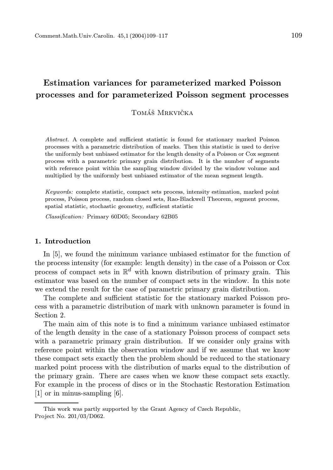# Estimation variances for parameterized marked Poisson processes and for parameterized Poisson segment processes

## Tomáš Mrkvička

Abstract. A complete and sufficient statistic is found for stationary marked Poisson processes with a parametric distribution of marks. Then this statistic is used to derive the uniformly best unbiased estimator for the length density of a Poisson or Cox segment process with a parametric primary grain distribution. It is the number of segments with reference point within the sampling window divided by the window volume and multiplied by the uniformly best unbiased estimator of the mean segment length.

Keywords: complete statistic, compact sets process, intensity estimation, marked point process, Poisson process, random closed sets, Rao-Blackwell Theorem, segment process, spatial statistic, stochastic geometry, sufficient statistic

Classification: Primary 60D05; Secondary 62B05

### 1. Introduction

In [5], we found the minimum variance unbiased estimator for the function of the process intensity (for example: length density) in the case of a Poisson or Cox process of compact sets in  $\mathbb{R}^d$  with known distribution of primary grain. This estimator was based on the number of compact sets in the window. In this note we extend the result for the case of parametric primary grain distribution.

The complete and sufficient statistic for the stationary marked Poisson process with a parametric distribution of mark with unknown parameter is found in Section 2.

The main aim of this note is to find a minimum variance unbiased estimator of the length density in the case of a stationary Poisson process of compact sets with a parametric primary grain distribution. If we consider only grains with reference point within the observation window and if we assume that we know these compact sets exactly then the problem should be reduced to the stationary marked point process with the distribution of marks equal to the distribution of the primary grain. There are cases when we know these compact sets exactly. For example in the process of discs or in the Stochastic Restoration Estimation [1] or in minus-sampling [6].

This work was partly supported by the Grant Agency of Czech Republic, Project No. 201/03/D062.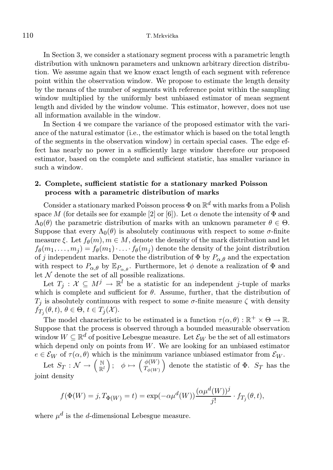In Section 3, we consider a stationary segment process with a parametric length distribution with unknown parameters and unknown arbitrary direction distribution. We assume again that we know exact length of each segment with reference point within the observation window. We propose to estimate the length density by the means of the number of segments with reference point within the sampling window multiplied by the uniformly best unbiased estimator of mean segment length and divided by the window volume. This estimator, however, does not use all information available in the window.

In Section 4 we compare the variance of the proposed estimator with the variance of the natural estimator (i.e., the estimator which is based on the total length of the segments in the observation window) in certain special cases. The edge effect has nearly no power in a sufficiently large window therefore our proposed estimator, based on the complete and sufficient statistic, has smaller variance in such a window.

## 2. Complete, sufficient statistic for a stationary marked Poisson process with a parametric distribution of marks

Consider a stationary marked Poisson process  $\Phi$  on  $\mathbb{R}^d$  with marks from a Polish space M (for details see for example [2] or [6]). Let  $\alpha$  denote the intensity of  $\Phi$  and  $\Lambda_0(\theta)$  the parametric distribution of marks with an unknown parameter  $\theta \in \Theta$ . Suppose that every  $\Lambda_0(\theta)$  is absolutely continuous with respect to some  $\sigma$ -finite measure  $\xi$ . Let  $f_{\theta}(m)$ ,  $m \in M$ , denote the density of the mark distribution and let  $f_{\theta}(m_1,\ldots,m_j) = f_{\theta}(m_1)\cdot \ldots \cdot f_{\theta}(m_j)$  denote the density of the joint distribution of j independent marks. Denote the distribution of  $\Phi$  by  $P_{\alpha,\theta}$  and the expectation with respect to  $P_{\alpha,\theta}$  by  $\mathbb{E}_{P_{\alpha,\theta}}$ . Furthermore, let  $\phi$  denote a realization of  $\Phi$  and let  ${\mathcal N}$  denote the set of all possible realizations.

Let  $T_j: \mathcal{X} \subseteq M^j \to \mathbb{R}^l$  be a statistic for an independent j-tuple of marks which is complete and sufficient for  $\theta$ . Assume, further, that the distribution of  $T_j$  is absolutely continuous with respect to some  $\sigma$ -finite measure  $\zeta$  with density  $f_{T_j}(\theta, t), \, \theta \in \Theta, t \in T_j(\mathcal{X}).$ 

The model characteristic to be estimated is a function  $\tau(\alpha, \theta) : \mathbb{R}^+ \times \Theta \to \mathbb{R}$ . Suppose that the process is observed through a bounded measurable observation window  $W \subseteq \mathbb{R}^d$  of positive Lebesgue measure. Let  $\mathcal{E}_W$  be the set of all estimators which depend only on points from  $W$ . We are looking for an unbiased estimator  $e \in \mathcal{E}_W$  of  $\tau(\alpha, \theta)$  which is the minimum variance unbiased estimator from  $\mathcal{E}_W$ .

Let  $S_T : \mathcal{N} \to \left(\begin{smallmatrix} \mathbb{N} \ \mathbb{R}^l \end{smallmatrix}\right)$  $\mathbb{R}^{l}$  ;  $\phi \mapsto \left(\frac{\phi(W)}{T_{\phi(W)}}\right)$  $T_{\phi(W)}$ denote the statistic of  $\Phi$ .  $S_T$  has the joint density

$$
f(\Phi(W) = j, T_{\Phi(W)} = t) = \exp(-\alpha \mu^{d}(W)) \frac{(\alpha \mu^{d}(W))^{j}}{j!} \cdot f_{T_{j}}(\theta, t),
$$

where  $\mu^d$  is the *d*-dimensional Lebesgue measure.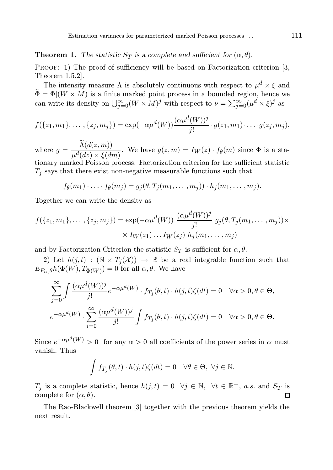## **Theorem 1.** The statistic  $S_T$  is a complete and sufficient for  $(\alpha, \theta)$ .

PROOF: 1) The proof of sufficiency will be based on Factorization criterion [3, Theorem 1.5.2].

The intensity measure  $\Lambda$  is absolutely continuous with respect to  $\mu^d \times \xi$  and  $\widetilde{\Phi} = \Phi | (W \times M)$  is a finite marked point process in a bounded region, hence we can write its density on  $\bigcup_{j=0}^{\infty} (W \times M)^j$  with respect to  $\nu = \sum_{j=0}^{\infty} (\mu^d \times \xi)^j$  as

$$
f({z_1, m_1}, \ldots, {z_j, m_j}) = \exp(-\alpha \mu^{d}(W)) \frac{(\alpha \mu^{d}(W))^j}{j!} \cdot g(z_1, m_1) \cdot \ldots \cdot g(z_j, m_j),
$$

where  $g = \frac{\Lambda(d(z,m))}{d(z) - \epsilon(z)}$  $\frac{\mu(\alpha(z),m_j)}{\mu^d(dz)\times \xi(dm)}$ . We have  $g(z,m) = I_W(z) \cdot f_{\theta}(m)$  since  $\Phi$  is a sta-

tionary marked Poisson process. Factorization criterion for the sufficient statistic  $T_i$  says that there exist non-negative measurable functions such that

$$
f_{\theta}(m_1)\cdot \ldots \cdot f_{\theta}(m_j) = g_j(\theta, T_j(m_1, \ldots, m_j)) \cdot h_j(m_1, \ldots, m_j).
$$

Together we can write the density as

$$
f({z_1, m_1}, \ldots, {z_j, m_j}) = \exp(-\alpha \mu^d(W)) \frac{(\alpha \mu^d(W))^j}{j!} g_j(\theta, T_j(m_1, \ldots, m_j)) \times \times I_W(z_1) \ldots I_W(z_j) h_j(m_1, \ldots, m_j)
$$

and by Factorization Criterion the statistic  $S_T$  is sufficient for  $\alpha, \theta$ .

2) Let  $h(j, t) : (\mathbb{N} \times T_j(\mathcal{X})) \to \mathbb{R}$  be a real integrable function such that  $E_{P_{\alpha},\theta}h(\Phi(W),T_{\Phi(W)})=0$  for all  $\alpha,\theta$ . We have

$$
\sum_{j=0}^{\infty} \int \frac{(\alpha \mu^{d}(W))^{j}}{j!} e^{-\alpha \mu^{d}(W)} \cdot f_{T_{j}}(\theta, t) \cdot h(j, t) \zeta(dt) = 0 \quad \forall \alpha > 0, \theta \in \Theta,
$$
  

$$
e^{-\alpha \mu^{d}(W)} \cdot \sum_{j=0}^{\infty} \frac{(\alpha \mu^{d}(W))^{j}}{j!} \int f_{T_{j}}(\theta, t) \cdot h(j, t) \zeta(dt) = 0 \quad \forall \alpha > 0, \theta \in \Theta.
$$

Since  $e^{-\alpha \mu^{d}(W)} > 0$  for any  $\alpha > 0$  all coefficients of the power series in  $\alpha$  must vanish. Thus

$$
\int f_{T_j}(\theta, t) \cdot h(j, t) \zeta(dt) = 0 \quad \forall \theta \in \Theta, \ \forall j \in \mathbb{N}.
$$

 $T_j$  is a complete statistic, hence  $h(j,t) = 0 \quad \forall j \in \mathbb{N}, \quad \forall t \in \mathbb{R}^+, a.s.$  and  $S_T$  is complete for  $(\alpha, \theta)$ . 口

The Rao-Blackwell theorem [3] together with the previous theorem yields the next result.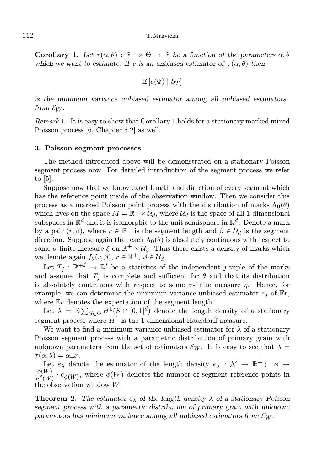### 112 T. Mrkvička

**Corollary 1.** Let  $\tau(\alpha, \theta) : \mathbb{R}^+ \times \Theta \to \mathbb{R}$  be a function of the parameters  $\alpha, \theta$ which we want to estimate. If e is an unbiased estimator of  $\tau(\alpha, \theta)$  then

$$
\mathbb{E}\left[e(\Phi) \mid S_T\right]
$$

is the minimum variance unbiased estimator among all unbiased estimators from  $\mathcal{E}_W$ .

Remark 1. It is easy to show that Corollary 1 holds for a stationary marked mixed Poisson process [6, Chapter 5.2] as well.

## 3. Poisson segment processes

The method introduced above will be demonstrated on a stationary Poisson segment process now. For detailed introduction of the segment process we refer to [5].

Suppose now that we know exact length and direction of every segment which has the reference point inside of the observation window. Then we consider this process as a marked Poisson point process with the distribution of marks  $\Lambda_0(\theta)$ which lives on the space  $M = \mathbb{R}^+ \times \mathcal{U}_d$ , where  $\mathcal{U}_d$  is the space of all 1-dimensional subspaces in  $\mathbb{R}^d$  and it is isomorphic to the unit semisphere in  $\mathbb{R}^d$ . Denote a mark by a pair  $(r, \beta)$ , where  $r \in \mathbb{R}^+$  is the segment length and  $\beta \in \mathcal{U}_d$  is the segment direction. Suppose again that each  $\Lambda_0(\theta)$  is absolutely continuous with respect to some  $\sigma$ -finite measure  $\xi$  on  $\mathbb{R}^+ \times \mathcal{U}_d$ . Thus there exists a density of marks which we denote again  $f_{\theta}(r, \beta), r \in \mathbb{R}^+, \beta \in \mathcal{U}_d$ .

Let  $T_j : \mathbb{R}^{+j} \to \mathbb{R}^l$  be a statistics of the independent *j*-tuple of the marks and assume that  $T_j$  is complete and sufficient for  $\theta$  and that its distribution is absolutely continuous with respect to some  $\sigma$ -finite measure  $\eta$ . Hence, for example, we can determine the minimum variance unbiased estimator  $e_i$  of  $\mathbb{E}r$ , where  $Er$  denotes the expectation of the segment length.

Let  $\lambda = \mathbb{E} \sum_{S \in \Phi} H^1(S \cap [0,1]^d)$  denote the length density of a stationary segment process where  $H^1$  is the 1-dimensional Hausdorff measure.

We want to find a minimum variance unbiased estimator for  $\lambda$  of a stationary Poisson segment process with a parametric distribution of primary grain with unknown parameters from the set of estimators  $\mathcal{E}_W$ . It is easy to see that  $\lambda =$  $\tau(\alpha, \theta) = \alpha \mathbb{E} r.$ 

Let  $e_{\lambda}$  denote the estimator of the length density  $e_{\lambda}: \mathcal{N} \to \mathbb{R}^+$ ;  $\phi \mapsto$  $\phi(W)$  $\frac{\varphi(W)}{\mu^d(W)} \cdot e_{\phi(W)}$ , where  $\phi(W)$  denotes the number of segment reference points in the observation window W.

**Theorem 2.** The estimator  $e_{\lambda}$  of the length density  $\lambda$  of a stationary Poisson segment process with a parametric distribution of primary grain with unknown parameters has minimum variance among all unbiased estimators from  $\mathcal{E}_W$ .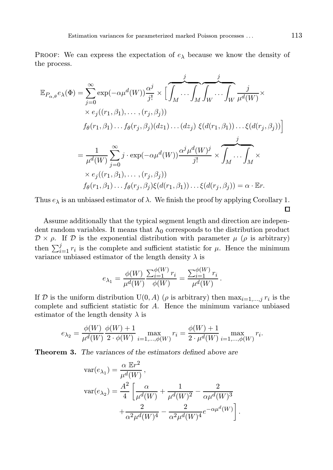PROOF: We can express the expectation of  $e_{\lambda}$  because we know the density of the process.

$$
\mathbb{E}_{P_{\alpha,\theta}}e_{\lambda}(\Phi) = \sum_{j=0}^{\infty} \exp(-\alpha\mu^{d}(W)) \frac{\alpha^{j}}{j!} \times \left[ \overbrace{\int_{M} \cdots \int_{M} \int_{W} \cdots \int_{W} \overbrace{\mu^{d}(W)}^{j}}^j \right] \times \exp((r_1, \beta_1), \dots, (r_j, \beta_j))
$$
  
\n
$$
f_{\theta}(r_1, \beta_1) \cdots f_{\theta}(r_j, \beta_j) (dz_1) \cdots (dz_j) \xi(d(r_1, \beta_1)) \cdots \xi(d(r_j, \beta_j)) \right]
$$
  
\n
$$
= \frac{1}{\mu^{d}(W)} \sum_{j=0}^{\infty} j \cdot \exp(-\alpha\mu^{d}(W)) \frac{\alpha^{j} \mu^{d}(W)^{j}}{j!} \times \overbrace{\int_{M} \cdots \int_{M}}^j \times
$$
  
\n
$$
\times e_{j}((r_1, \beta_1), \dots, (r_j, \beta_j))
$$
  
\n
$$
f_{\theta}(r_1, \beta_1) \cdots f_{\theta}(r_j, \beta_j) \xi(d(r_1, \beta_1)) \cdots \xi(d(r_j, \beta_j)) = \alpha \cdot \mathbb{E}r.
$$

Thus  $e_{\lambda}$  is an unbiased estimator of  $\lambda$ . We finish the proof by applying Corollary 1.  $\Box$ 

Assume additionally that the typical segment length and direction are independent random variables. It means that  $\Lambda_0$  corresponds to the distribution product  $\mathcal{D} \times \rho$ . If  $\mathcal{D}$  is the exponential distribution with parameter  $\mu$  ( $\rho$  is arbitrary) then  $\sum_{i=1}^{j} r_i$  is the complete and sufficient statistic for  $\mu$ . Hence the minimum variance unbiased estimator of the length density  $\lambda$  is

$$
e_{\lambda_1} = \frac{\phi(W)}{\mu^d(W)} \frac{\sum_{i=1}^{\phi(W)} r_i}{\phi(W)} = \frac{\sum_{i=1}^{\phi(W)} r_i}{\mu^d(W)}.
$$

If D is the uniform distribution  $U(0, A)$  ( $\rho$  is arbitrary) then  $\max_{i=1,\dots,j} r_i$  is the complete and sufficient statistic for A. Hence the minimum variance unbiased estimator of the length density  $\lambda$  is

$$
e_{\lambda_2} = \frac{\phi(W)}{\mu^d(W)} \frac{\phi(W) + 1}{2 \cdot \phi(W)} \max_{i = 1, ..., \phi(W)} r_i = \frac{\phi(W) + 1}{2 \cdot \mu^d(W)} \max_{i = 1, ..., \phi(W)} r_i.
$$

Theorem 3. The variances of the estimators defined above are

$$
\begin{split} \text{var}(e_{\lambda_1}) &= \frac{\alpha \mathbb{E}r^2}{\mu^d(W)}, \\ \text{var}(e_{\lambda_2}) &= \frac{A^2}{4} \left[ \frac{\alpha}{\mu^d(W)} + \frac{1}{\mu^d(W)^2} - \frac{2}{\alpha \mu^d(W)^3} \right. \\ &\left. + \frac{2}{\alpha^2 \mu^d(W)^4} - \frac{2}{\alpha^2 \mu^d(W)^4} e^{-\alpha \mu^d(W)} \right]. \end{split}
$$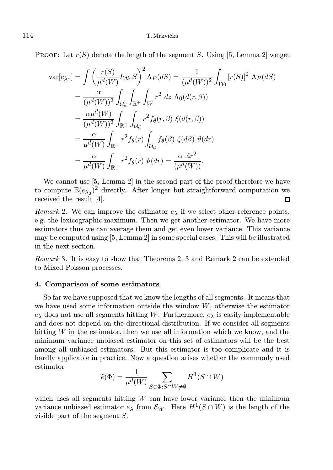PROOF: Let  $r(S)$  denote the length of the segment S. Using [5, Lemma 2] we get

$$
\begin{split}\n\text{var}[e_{\lambda_1}] &= \int \left(\frac{r(S)}{\mu^d(W)} I_{\mathcal{W}_1} S\right)^2 \Lambda_P(dS) = \frac{1}{(\mu^d(W))^2} \int_{\mathcal{W}_1} [r(S)]^2 \Lambda_P(dS) \\
&= \frac{\alpha}{(\mu^d(W))^2} \int_{\mathcal{U}_d} \int_{\mathbb{R}^+} \int_W r^2 \, dz \, \Lambda_0(d(r, \beta)) \\
&= \frac{\alpha \mu^d(W)}{(\mu^d(W))^2} \int_{\mathbb{R}^+} \int_{\mathcal{U}_d} r^2 f_{\theta}(r, \beta) \, \xi(d(r, \beta)) \\
&= \frac{\alpha}{\mu^d(W)} \int_{\mathbb{R}^+} r^2 f_{\theta}(r) \int_{\mathcal{U}_d} f_{\theta}(\beta) \, \zeta(d\beta) \, \vartheta(dr) \\
&= \frac{\alpha}{\mu^d(W)} \int_{\mathbb{R}^+} r^2 f_{\theta}(r) \, \vartheta(dr) = \frac{\alpha \mathbb{E}r^2}{(\mu^d(W))}.\n\end{split}
$$

We cannot use [5, Lemma 2] in the second part of the proof therefore we have to compute  $\mathbb{E}(e_{\lambda_2})^2$  directly. After longer but straightforward computation we received the result [4].  $\Box$ 

Remark 2. We can improve the estimator  $e_{\lambda}$  if we select other reference points, e.g. the lexicographic maximum. Then we get another estimator. We have more estimators thus we can average them and get even lower variance. This variance may be computed using [5, Lemma 2] in some special cases. This will be illustrated in the next section.

Remark 3. It is easy to show that Theorems 2, 3 and Remark 2 can be extended to Mixed Poisson processes.

### 4. Comparison of some estimators

So far we have supposed that we know the lengths of all segments. It means that we have used some information outside the window  $W$ , otherwise the estimator  $e_{\lambda}$  does not use all segments hitting W. Furthermore,  $e_{\lambda}$  is easily implementable and does not depend on the directional distribution. If we consider all segments hitting  $W$  in the estimator, then we use all information which we know, and the minimum variance unbiased estimator on this set of estimators will be the best among all unbiased estimators. But this estimator is too complicate and it is hardly applicable in practice. Now a question arises whether the commonly used estimator

$$
\tilde{e}(\Phi) = \frac{1}{\mu^d(W)} \sum_{S \in \Phi : S \cap W \neq \emptyset} H^1(S \cap W)
$$

which uses all segments hitting  $W$  can have lower variance then the minimum variance unbiased estimator  $e_{\lambda}$  from  $\mathcal{E}_W$ . Here  $H^1(S \cap W)$  is the length of the visible part of the segment S.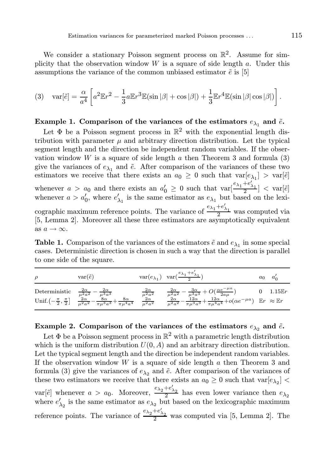We consider a stationary Poisson segment process on  $\mathbb{R}^2$ . Assume for simplicity that the observation window  $W$  is a square of side length  $a$ . Under this assumptions the variance of the common unbiased estimator  $\tilde{e}$  is [5]

$$
(3) \quad \text{var}[\tilde{e}] = \frac{\alpha}{a^4} \left[ a^2 \mathbb{E}r^2 - \frac{1}{3} a \mathbb{E}r^3 \mathbb{E}(\sin|\beta| + \cos|\beta|) + \frac{1}{3} \mathbb{E}r^4 \mathbb{E}(\sin|\beta| \cos|\beta|) \right].
$$

## Example 1. Comparison of the variances of the estimators  $e_{\lambda_1}$  and  $\tilde{e}$ .

Let  $\Phi$  be a Poisson segment process in  $\mathbb{R}^2$  with the exponential length distribution with parameter  $\mu$  and arbitrary direction distribution. Let the typical segment length and the direction be independent random variables. If the observation window W is a square of side length  $\alpha$  then Theorem 3 and formula (3) give the variances of  $e_{\lambda_1}$  and  $\tilde{e}$ . After comparison of the variances of these two estimators we receive that there exists an  $a_0 \geq 0$  such that  $\text{var}[e_{\lambda_1}] > \text{var}[\tilde{e}]$ whenever  $a > a_0$  and there exists an  $a'_0 \geq 0$  such that  $\text{var}[\frac{e_{\lambda_1}+e'_{\lambda_1}}{2}] < \text{var}[\tilde{e}]$ whenever  $a > a'_0$ , where  $e'_{\lambda_1}$  is the same estimator as  $e_{\lambda_1}$  but based on the lexicographic maximum reference points. The variance of  $\frac{e_{\lambda_1}+e'_{\lambda_1}}{2}$  was computed via [5, Lemma 2]. Moreover all these three estimators are asymptotically equivalent as  $a \rightarrow \infty$ .

**Table 1.** Comparison of the variances of the estimators  $\tilde{e}$  and  $e_{\lambda_1}$  in some special cases. Deterministic direction is chosen in such a way that the direction is parallel to one side of the square.

| $\rho$ | $var(\tilde{e})$                                                                                                                                                                                                                                                                | $\text{var}(e_{\lambda_1}) \ \ \text{var}(\frac{e_{\lambda_1}+e'_{\lambda_1}}{2})$                                                                                                                                                                                                                          | $a_0$ | $a_{c}$     |
|--------|---------------------------------------------------------------------------------------------------------------------------------------------------------------------------------------------------------------------------------------------------------------------------------|-------------------------------------------------------------------------------------------------------------------------------------------------------------------------------------------------------------------------------------------------------------------------------------------------------------|-------|-------------|
|        | Deterministic $\frac{2\alpha}{\mu^2 a^2} - \frac{2\alpha}{\mu^3 a^3}$ $\frac{2\alpha}{\mu^2 a^2}$<br>Unif. $\left(-\frac{\pi}{2}, \frac{\pi}{2}\right)$ $\frac{2\alpha}{\mu^2 a^2} - \frac{8\alpha}{\pi \mu^3 a^3} + \frac{8\alpha}{\pi \mu^4 a^4}$ $\frac{2\alpha}{\mu^2 a^2}$ | $\begin{array}{lll} \frac{2\alpha}{\mu^2 a^2} - \frac{3\alpha}{\mu^3 a^3} + O(\frac{\alpha e^{-\mu a}}{2a\mu}) & 0 & 1.15 \mathbb{E} \\ \frac{2\alpha}{\mu^2 a^2} - \frac{12\alpha}{\pi \mu^3 a^3} + \frac{12\alpha}{\pi \mu^4 a^4} + o(\alpha e^{-\mu a}) & \mathbb{E}r & \approx \mathbb{E}r \end{array}$ |       | 0 $1.15E$ r |

## Example 2. Comparison of the variances of the estimators  $e_{\lambda_2}$  and  $\tilde{e}$ .

Let  $\Phi$  be a Poisson segment process in  $\mathbb{R}^2$  with a parametric length distribution which is the uniform distribution  $U(0, A)$  and an arbitrary direction distribution. Let the typical segment length and the direction be independent random variables. If the observation window  $W$  is a square of side length  $a$  then Theorem 3 and formula (3) give the variances of  $e_{\lambda_2}$  and  $\tilde{e}$ . After comparison of the variances of these two estimators we receive that there exists an  $a_0 \ge 0$  such that  $\text{var}[e_{\lambda_2}]$  < var[ $\tilde{e}$ ] whenever  $a > a_0$ . Moreover,  $\frac{e_{\lambda_2} + e'_{\lambda_2}}{2}$  has even lower variance then  $e_{\lambda_2}$ . where  $e'_{\lambda_2}$  is the same estimator as  $e_{\lambda_2}$  but based on the lexicographic maximum reference points. The variance of  $\frac{e_{\lambda_2}+e'_{\lambda_2}}{2}$  was computed via [5, Lemma 2]. The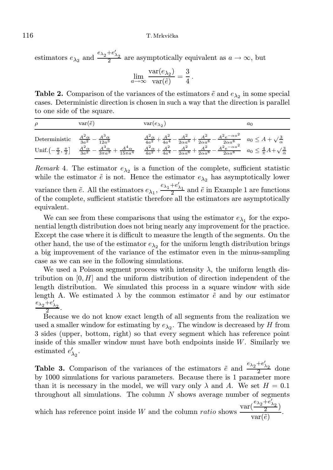### 116 T. Mrkvička

estimators  $e_{\lambda_2}$  and  $\frac{e_{\lambda_2}+e'_{\lambda_2}}{2}$  are asymptotically equivalent as  $a \to \infty$ , but

$$
\lim_{a \to \infty} \frac{\text{var}(e_{\lambda_2})}{\text{var}(\tilde{e})} = \frac{3}{4}.
$$

**Table 2.** Comparison of the variances of the estimators  $\tilde{e}$  and  $e_{\lambda_2}$  in some special cases. Deterministic direction is chosen in such a way that the direction is parallel to one side of the square.

| $\rho$        | $var(\tilde{e})$                                     | $var(e_{\lambda_2})$                                                                                                                                                                                                                                                                                                                                                                                                                                                                                                                       | $a_0$ |
|---------------|------------------------------------------------------|--------------------------------------------------------------------------------------------------------------------------------------------------------------------------------------------------------------------------------------------------------------------------------------------------------------------------------------------------------------------------------------------------------------------------------------------------------------------------------------------------------------------------------------------|-------|
| Deterministic | $\frac{A^2 \alpha}{3a^2} - \frac{A^3 \alpha}{12a^3}$ | $\frac{A^2 \alpha}{4 a^2} + \frac{A^2}{4 a^4} - \frac{A^2}{2 \alpha a^6} + \frac{A^2}{2 \alpha a^8} - \frac{A^2 e^{- \alpha a^2}}{2 \alpha a^8} \quad a_0 \leq A + \sqrt{\frac{3}{\alpha}}$<br>$\text{Unif.}\left(-\frac{\pi}{2},\frac{\pi}{2}\right] \quad \, \frac{A^2\alpha}{3a^2}-\frac{A^3\alpha}{3\pi a^3}+\frac{A^4\alpha}{15\pi a^4} \quad \, \frac{A^2\alpha}{4a^2}+\frac{A^2}{4a^4}-\frac{A^2}{2\alpha a^6}+\frac{A^2}{2\alpha a^8}-\frac{A^2e^{-\alpha a^2}}{2\alpha a^8} \quad a_0\leq \frac{4}{\pi}A+\sqrt{\frac{3}{\alpha}}$ |       |

Remark 4. The estimator  $e_{\lambda_2}$  is a function of the complete, sufficient statistic while the estimator  $\tilde{e}$  is not. Hence the estimator  $e_{\lambda_2}$  has asymptotically lower variance then  $\tilde{e}$ . All the estimators  $e_{\lambda_1}$ ,  $\frac{e_{\lambda_1}+e'_{\lambda_1}}{2}$  and  $\tilde{e}$  in Example 1 are functions of the complete, sufficient statistic therefore all the estimators are asymptotically equivalent.

We can see from these comparisons that using the estimator  $e_{\lambda_1}$  for the exponential length distribution does not bring nearly any improvement for the practice. Except the case where it is difficult to measure the length of the segments. On the other hand, the use of the estimator  $e_{\lambda_2}$  for the uniform length distribution brings a big improvement of the variance of the estimator even in the minus-sampling case as we can see in the following simulations.

We used a Poisson segment process with intensity  $\lambda$ , the uniform length distribution on  $[0, H]$  and the uniform distribution of direction independent of the length distribution. We simulated this process in a square window with side length A. We estimated  $\lambda$  by the common estimator  $\tilde{e}$  and by our estimator  $e_{\lambda_2}+e'_{\lambda_2}$ .

2 Because we do not know exact length of all segments from the realization we used a smaller window for estimating by  $e_{\lambda_2}$ . The window is decreased by H from 3 sides (upper, bottom, right) so that every segment which has reference point inside of this smaller window must have both endpoints inside  $W$ . Similarly we estimated  $e'_{\lambda_2}$ .

**Table 3.** Comparison of the variances of the estimators  $\tilde{e}$  and  $\frac{e_{\lambda_2}+e'_{\lambda_2}}{2}$  done by 1000 simulations for various parameters. Because there is 1 parameter more than it is necessary in the model, we will vary only  $\lambda$  and A. We set  $H = 0.1$ throughout all simulations. The column  $N$  shows average number of segments which has reference point inside W and the column *ratio* shows  $\frac{\text{var}(\frac{e_{\lambda_2}+e'_{\lambda_2}}{2})}{\frac{z}{\lambda_2}}$ 

 $\frac{2}{\text{var}(\tilde{e})}$ .